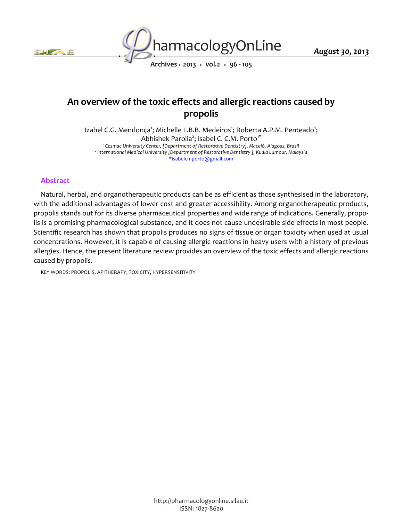



*Archives • 2013 • vol.2 • 96 - 105*

# *An overview of the toxic effects and allergic reactions caused by propolis*

Izabel C.G. Mendonça<sup>1</sup>; Michelle L.B.B. Medeiros<sup>1</sup>; Roberta A.P.M. Penteado<sup>1</sup>; *Abhishek Parolia<sup>2</sup> ; Isabel C. C.M. Porto1\* <sup>1</sup>Cesmac University Center, [Department of Restorative Dentistry], Maceió, Alagoas, Brazil <sup>2</sup>International Medical University [Department of Restorative Dentistry ], Kuala Lumpur, Malaysia \*isabelcmporto@gmail.com*

# *Abstract*

*Natural, herbal, and organotherapeutic products can be as efficient as those synthesised in the laboratory, with the additional advantages of lower cost and greater accessibility. Among organotherapeutic products, propolis stands out for its diverse pharmaceutical properties and wide range of indications. Generally, propo*lis is a promising pharmacological substance, and it does not cause undesirable side effects in most people. *Scientific research has shown that propolis produces no signs of tissue or organ toxicity when used at usual concentrations. However, it is capable of causing allergic reactions in heavy users with a history of previous allergies. Hence, the present literature review provides an overview of the toxic effects and allergic reactions caused by propolis.*

*KEY WORDS: PROPOLIS, APITHERAPY, TOXICITY, HYPERSENSITIVITY*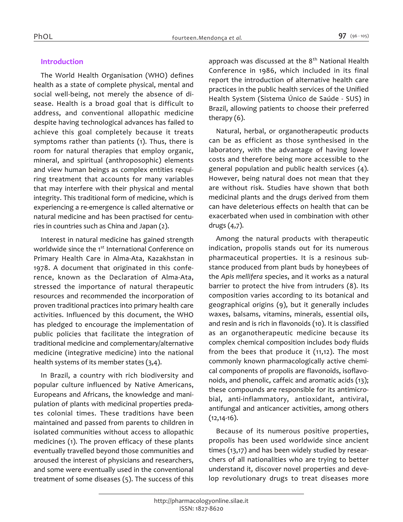# *Introduction*

*The World Health Organisation (WHO) defines health as a state of complete physical, mental and social well-being, not merely the absence of disease. Health is a broad goal that is difficult to address, and conventional allopathic medicine despite having technological advances has failed to achieve this goal completely because it treats symptoms rather than patients (1). Thus, there is room for natural therapies that employ organic, mineral, and spiritual (anthroposophic) elements and view human beings as complex entities requiring treatment that accounts for many variables that may interfere with their physical and mental integrity. This traditional form of medicine, which is experiencing a re-emergence is called alternative or natural medicine and has been practised for centuries in countries such as China and Japan (2).*

*Interest in natural medicine has gained strength worldwide since the 1st International Conference on Primary Health Care in Alma-Ata, Kazakhstan in 1978. A document that originated in this conference, known as the Declaration of Alma-Ata, stressed the importance of natural therapeutic resources and recommended the incorporation of proven traditional practices into primary health care activities. Influenced by this document, the WHO has pledged to encourage the implementation of public policies that facilitate the integration of traditional medicine and complementary/alternative medicine (integrative medicine) into the national health systems of its member states (3,4).*

*In Brazil, a country with rich biodiversity and popular culture influenced by Native Americans, Europeans and Africans, the knowledge and manipulation of plants with medicinal properties predates colonial times. These traditions have been maintained and passed from parents to children in isolated communities without access to allopathic medicines (1). The proven efficacy of these plants eventually travelled beyond those communities and aroused the interest of physicians and researchers, and some were eventually used in the conventional treatment of some diseases (5). The success of this* 

*approach was discussed at the 8th National Health Conference in 1986, which included in its final report the introduction of alternative health care practices in the public health services of the Unified Health System (Sistema Único de Saúde - SUS) in Brazil, allowing patients to choose their preferred therapy (6).*

*Natural, herbal, or organotherapeutic products can be as efficient as those synthesised in the laboratory, with the advantage of having lower costs and therefore being more accessible to the general population and public health services (4). However, being natural does not mean that they are without risk. Studies have shown that both medicinal plants and the drugs derived from them can have deleterious effects on health that can be exacerbated when used in combination with other drugs (4,7).*

*Among the natural products with therapeutic indication, propolis stands out for its numerous pharmaceutical properties. It is a resinous substance produced from plant buds by honeybees of the Apis mellifera species, and it works as a natural barrier to protect the hive from intruders (8). Its composition varies according to its botanical and geographical origins (9), but it generally includes waxes, balsams, vitamins, minerals, essential oils, and resin and is rich in flavonoids (10). It is classified as an organotherapeutic medicine because its complex chemical composition includes body fluids from the bees that produce it (11,12). The most commonly known pharmacologically active chemical components of propolis are flavonoids, isoflavonoids, and phenolic, caffeic and aromatic acids (13); these compounds are responsible for its antimicrobial, anti-inflammatory, antioxidant, antiviral, antifungal and anticancer activities, among others (12,14-16).*

*Because of its numerous positive properties, propolis has been used worldwide since ancient times (13,17) and has been widely studied by researchers of all nationalities who are trying to better understand it, discover novel properties and develop revolutionary drugs to treat diseases more*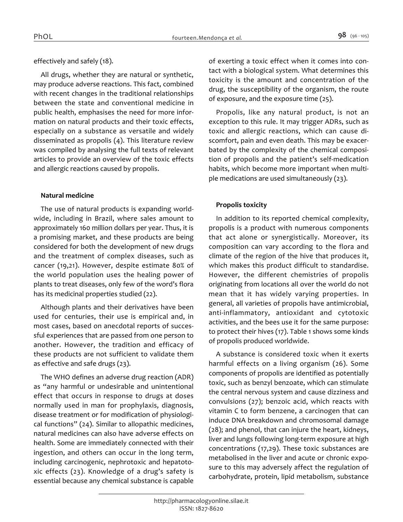### *effectively and safely (18).*

*All drugs, whether they are natural or synthetic, may produce adverse reactions. This fact, combined with recent changes in the traditional relationships between the state and conventional medicine in public health, emphasises the need for more information on natural products and their toxic effects, especially on a substance as versatile and widely disseminated as propolis (4). This literature review was compiled by analysing the full texts of relevant articles to provide an overview of the toxic effects and allergic reactions caused by propolis.*

### *Natural medicine*

*The use of natural products is expanding worldwide, including in Brazil, where sales amount to approximately 160 million dollars per year. Thus, it is a promising market, and these products are being considered for both the development of new drugs and the treatment of complex diseases, such as cancer (19,21). However, despite estimate 80% of the world population uses the healing power of plants to treat diseases, only few of the word's flora has its medicinal properties studied (22).*

*Although plants and their derivatives have been used for centuries, their use is empirical and, in most cases, based on anecdotal reports of successful experiences that are passed from one person to another. However, the tradition and efficacy of these products are not sufficient to validate them as effective and safe drugs (23).*

*The WHO defines an adverse drug reaction (ADR) as "any harmful or undesirable and unintentional effect that occurs in response to drugs at doses normally used in man for prophylaxis, diagnosis, disease treatment or for modification of physiological functions" (24). Similar to allopathic medicines, natural medicines can also have adverse effects on health. Some are immediately connected with their ingestion, and others can occur in the long term, including carcinogenic, nephrotoxic and hepatotoxic effects (23). Knowledge of a drug's safety is essential because any chemical substance is capable*  *of exerting a toxic effect when it comes into contact with a biological system. What determines this toxicity is the amount and concentration of the drug, the susceptibility of the organism, the route of exposure, and the exposure time (25).*

*Propolis, like any natural product, is not an exception to this rule. It may trigger ADRs, such as toxic and allergic reactions, which can cause discomfort, pain and even death. This may be exacerbated by the complexity of the chemical composition of propolis and the patient's self-medication habits, which become more important when multiple medications are used simultaneously (23).*

## *Propolis toxicity*

*In addition to its reported chemical complexity, propolis is a product with numerous components that act alone or synergistically. Moreover, its composition can vary according to the flora and climate of the region of the hive that produces it, which makes this product difficult to standardise. However, the different chemistries of propolis originating from locations all over the world do not mean that it has widely varying properties. In general, all varieties of propolis have antimicrobial, anti-inflammatory, antioxidant and cytotoxic activities, and the bees use it for the same purpose: to protect their hives (17). Table 1 shows some kinds of propolis produced worldwide.*

*A substance is considered toxic when it exerts harmful effects on a living organism (26). Some components of propolis are identified as potentially toxic, such as benzyl benzoate, which can stimulate the central nervous system and cause dizziness and convulsions (27); benzoic acid, which reacts with vitamin C to form benzene, a carcinogen that can induce DNA breakdown and chromosomal damage (28); and phenol, that can injure the heart, kidneys, liver and lungs following long-term exposure at high concentrations (17,29). These toxic substances are metabolised in the liver and acute or chronic exposure to this may adversely affect the regulation of carbohydrate, protein, lipid metabolism, substance*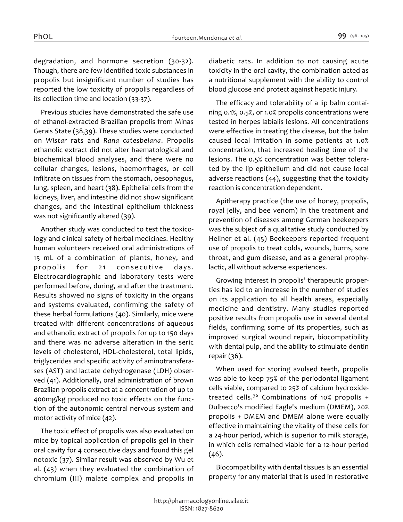*PhOL 99 (96 - 105) fourteen.Mendonça et al.*

*degradation, and hormone secretion (30-32). Though, there are few identified toxic substances in propolis but insignificant number of studies has reported the low toxicity of propolis regardless of its collection time and location (33-37).*

*Previous studies have demonstrated the safe use of ethanol-extracted Brazilian propolis from Minas Gerais State (38,39). These studies were conducted on Wistar rats and Rana catesbeiana. Propolis ethanolic extract did not alter haematological and biochemical blood analyses, and there were no cellular changes, lesions, haemorrhages, or cell infiltrate on tissues from the stomach, oesophagus, lung, spleen, and heart (38). Epithelial cells from the kidneys, liver, and intestine did not show significant changes, and the intestinal epithelium thickness was not significantly altered (39).*

*Another study was conducted to test the toxicology and clinical safety of herbal medicines. Healthy human volunteers received oral administrations of 15 mL of a combination of plants, honey, and propolis for 21 consecutive days. Electrocardiographic and laboratory tests were performed before, during, and after the treatment. Results showed no signs of toxicity in the organs and systems evaluated, confirming the safety of these herbal formulations (40). Similarly, mice were treated with different concentrations of aqueous and ethanolic extract of propolis for up to 150 days and there was no adverse alteration in the seric levels of cholesterol, HDL-cholesterol, total lipids, triglycerides and specific activity of aminotransferases (AST) and lactate dehydrogenase (LDH) observed (41). Additionally, oral administration of brown Brazilian propolis extract at a concentration of up to 400mg/kg produced no toxic effects on the function of the autonomic central nervous system and motor activity of mice (42).*

*The toxic effect of propolis was also evaluated on mice by topical application of propolis gel in their oral cavity for 4 consecutive days and found this gel notoxic (37). Similar result was observed by Wu et al. (43) when they evaluated the combination of chromium (III) malate complex and propolis in*  *diabetic rats. In addition to not causing acute toxicity in the oral cavity, the combination acted as a nutritional supplement with the ability to control blood glucose and protect against hepatic injury.*

*The efficacy and tolerability of a lip balm containing 0.1%, 0.5%, or 1.0% propolis concentrations were tested in herpes labialis lesions. All concentrations were effective in treating the disease, but the balm caused local irritation in some patients at 1.0% concentration, that increased healing time of the lesions. The 0.5% concentration was better tolerated by the lip epithelium and did not cause local adverse reactions (44), suggesting that the toxicity reaction is concentration dependent.*

*Apitherapy practice (the use of honey, propolis, royal jelly, and bee venom) in the treatment and prevention of diseases among German beekeepers was the subject of a qualitative study conducted by Hellner et al. (45) Beekeepers reported frequent use of propolis to treat colds, wounds, burns, sore throat, and gum disease, and as a general prophylactic, all without adverse experiences.*

*Growing interest in propolis' therapeutic properties has led to an increase in the number of studies on its application to all health areas, especially medicine and dentistry. Many studies reported positive results from propolis use in several dental fields, confirming some of its properties, such as improved surgical wound repair, biocompatibility with dental pulp, and the ability to stimulate dentin repair (36).*

*When used for storing avulsed teeth, propolis was able to keep 75% of the periodontal ligament cells viable, compared to 25% of calcium hydroxidetreated cells.<sup>36</sup> Combinations of 10% propolis + Dulbecco's modified Eagle's medium (DMEM), 20% propolis + DMEM and DMEM alone were equally effective in maintaining the vitality of these cells for a 24-hour period, which is superior to milk storage, in which cells remained viable for a 12-hour period (46).*

*Biocompatibility with dental tissues is an essential property for any material that is used in restorative*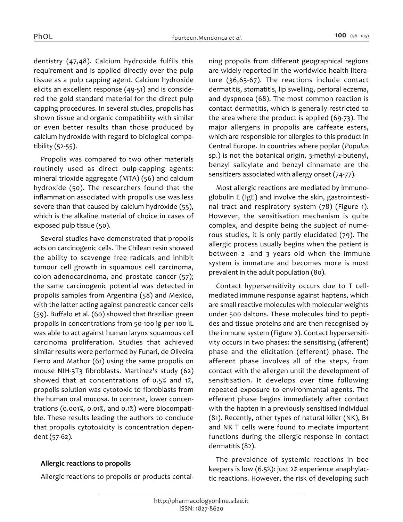*dentistry (47,48). Calcium hydroxide fulfils this requirement and is applied directly over the pulp tissue as a pulp capping agent. Calcium hydroxide elicits an excellent response (49-51) and is considered the gold standard material for the direct pulp capping procedures. In several studies, propolis has shown tissue and organic compatibility with similar or even better results than those produced by calcium hydroxide with regard to biological compatibility (52-55).*

*Propolis was compared to two other materials routinely used as direct pulp-capping agents: mineral trioxide aggregate (MTA) (56) and calcium hydroxide (50). The researchers found that the inflammation associated with propolis use was less severe than that caused by calcium hydroxide (55), which is the alkaline material of choice in cases of exposed pulp tissue (50).*

*Several studies have demonstrated that propolis acts on carcinogenic cells. The Chilean resin showed the ability to scavenge free radicals and inhibit tumour cell growth in squamous cell carcinoma, colon adenocarcinoma, and prostate cancer (57); the same carcinogenic potential was detected in propolis samples from Argentina (58) and Mexico, with the latter acting against pancreatic cancer cells (59). Buffalo et al. (60) showed that Brazilian green propolis in concentrations from 50-100 ìg per 100 ìL was able to act against human larynx squamous cell carcinoma proliferation. Studies that achieved similar results were performed by Funari, de Oliveira Ferro and Mathor (61) using the same propolis on mouse NIH-3T3 fibroblasts. Martinez's study (62) showed that at concentrations of 0.5% and 1%, propolis solution was cytotoxic to fibroblasts from the human oral mucosa. In contrast, lower concentrations (0.001%, 0.01%, and 0.1%) were biocompatible. These results leading the authors to conclude that propolis cytotoxicity is concentration dependent (57-62).*

#### *Allergic reactions to propolis*

*Allergic reactions to propolis or products contai-*

*ning propolis from different geographical regions are widely reported in the worldwide health literature (36,63-67). The reactions include contact dermatitis, stomatitis, lip swelling, perioral eczema, and dyspnoea (68). The most common reaction is contact dermatitis, which is generally restricted to the area where the product is applied (69-73). The major allergens in propolis are caffeate esters, which are responsible for allergies to this product in Central Europe. In countries where poplar (Populus sp.) is not the botanical origin, 3-methyl-2-butenyl, benzyl salicylate and benzyl cinnamate are the sensitizers associated with allergy onset (74-77).*

*Most allergic reactions are mediated by immunoglobulin E (IgE) and involve the skin, gastrointestinal tract and respiratory system (78) (Figure 1). However, the sensitisation mechanism is quite complex, and despite being the subject of numerous studies, it is only partly elucidated (79). The allergic process usually begins when the patient is between 2 -and 3 years old when the immune system is immature and becomes more is most prevalent in the adult population (80).*

*Contact hypersensitivity occurs due to T cellmediated immune response against haptens, which are small reactive molecules with molecular weights under 500 daltons. These molecules bind to peptides and tissue proteins and are then recognised by the immune system (Figure 2). Contact hypersensitivity occurs in two phases: the sensitising (afferent) phase and the elicitation (efferent) phase. The afferent phase involves all of the steps, from contact with the allergen until the development of sensitisation. It develops over time following repeated exposure to environmental agents. The efferent phase begins immediately after contact with the hapten in a previously sensitised individual (81). Recently, other types of natural killer (NK), B1 and NK T cells were found to mediate important functions during the allergic response in contact dermatitis (82).*

*The prevalence of systemic reactions in bee keepers is low (6.5%): just 2% experience anaphylactic reactions. However, the risk of developing such*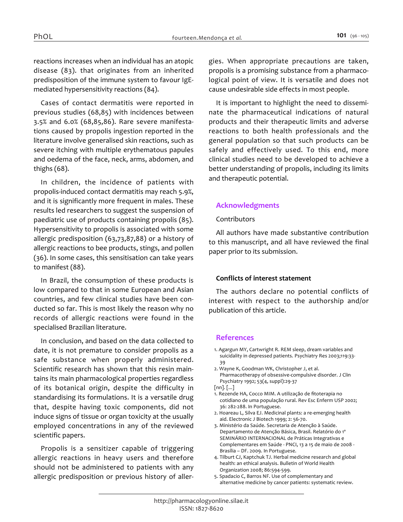*reactions increases when an individual has an atopic disease (83). that originates from an inherited predisposition of the immune system to favour IgEmediated hypersensitivity reactions (84).*

*Cases of contact dermatitis were reported in previous studies (68,85) with incidences between 3.5% and 6.0% (68,85,86). Rare severe manifestations caused by propolis ingestion reported in the literature involve generalised skin reactions, such as severe itching with multiple erythematous papules and oedema of the face, neck, arms, abdomen, and thighs (68).*

*In children, the incidence of patients with propolis-induced contact dermatitis may reach 5.9%, and it is significantly more frequent in males. These results led researchers to suggest the suspension of paediatric use of products containing propolis (85). Hypersensitivity to propolis is associated with some allergic predisposition (63,73,87,88) or a history of allergic reactions to bee products, stings, and pollen (36). In some cases, this sensitisation can take years to manifest (88).*

*In Brazil, the consumption of these products is low compared to that in some European and Asian countries, and few clinical studies have been conducted so far. This is most likely the reason why no records of allergic reactions were found in the specialised Brazilian literature.*

*In conclusion, and based on the data collected to date, it is not premature to consider propolis as a safe substance when properly administered. Scientific research has shown that this resin maintains its main pharmacological properties regardless of its botanical origin, despite the difficulty in standardising its formulations. It is a versatile drug that, despite having toxic components, did not induce signs of tissue or organ toxicity at the usually employed concentrations in any of the reviewed scientific papers.*

*Propolis is a sensitizer capable of triggering allergic reactions in heavy users and therefore should not be administered to patients with any allergic predisposition or previous history of aller-* *gies. When appropriate precautions are taken, propolis is a promising substance from a pharmacological point of view. It is versatile and does not cause undesirable side effects in most people.*

*It is important to highlight the need to disseminate the pharmaceutical indications of natural products and their therapeutic limits and adverse reactions to both health professionals and the general population so that such products can be safely and effectively used. To this end, more clinical studies need to be developed to achieve a better understanding of propolis, including its limits and therapeutic potential.*

# *Acknowledgments*

### *Contributors*

*All authors have made substantive contribution to this manuscript, and all have reviewed the final paper prior to its submission.*

#### *Conflicts of interest statement*

*The authors declare no potential conflicts of interest with respect to the authorship and/or publication of this article.*

### *References*

- *1. Agargun MY, Cartwright R. REM sleep, dream variables and suicidality in depressed patients. Psychiatry Res 2003;119:33- 39*
- *2. Wayne K, Goodman WK, Christopher J, et al. Pharmacotherapy of obsessive-compulsive disorder. J Clin Psychiatry 1992; 53(4, suppl):29-37 [nn]. [...]*
- *1. Rezende HA, Cocco MIM. A utilização de fitoterapia no cotidiano de uma população rural. Rev Esc Enferm USP 2002; 36: 282-288. In Portuguese.*
- *2. Hoareau L, Silva EJ. Medicinal plants: a re-emerging health aid. Electronic J Biotech 1999; 2: 56-70.*
- *3. Ministério da Saúde. Secretaria de Atenção à Saúde. Departamento de Atenção Básica, Brasil. Relatório do 1º SEMINÁRIO INTERNACIONAL de Práticas Integrativas e Complementares em Saúde - PNCI, 13 a 15 de maio de 2008 - Brasília – DF. 2009. In Portuguese.*
- *4. Tilburt CJ, Kaptchuk TJ. Herbal medicine research and global health: an ethical analysis. Bulletin of World Health Organization 2008; 86:594-599.*
- *5. Spadacio C, Barros NF. Use of complementary and alternative medicine by cancer patients: systematic review.*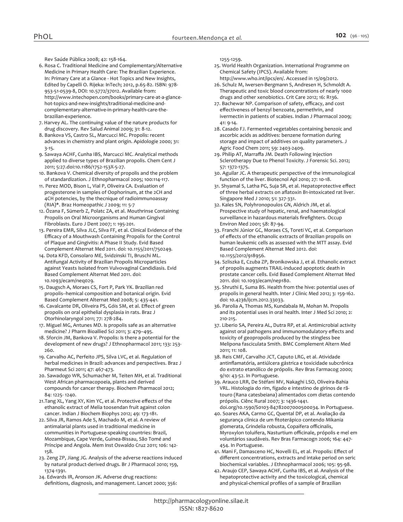*Rev Saúde Pública 2008; 42: 158-164.*

- *6. Rosa C. Traditional Medicine and Complementary/Alternative Medicine in Primary Health Care: The Brazilian Experience. In: Primary Care at a Glance - Hot Topics and New Insights, Edited by Capelli O. Rijeka: InTech; 2012, p.65-82. ISBN: 978- 953-51-0539-8, DOI: 10.5772/37012. Available from: http://www.intechopen.com/books/primary-care-at-a-glancehot-topics-and-new-insights/traditional-medicine-andcomplementary-alternative-in-primary-health-care-thebrazilian-experience.*
- *7. Harvey AL. The continuing value of the nature products for drug discovery. Rev Salud Animal 2009; 31: 8-12.*
- *8. Bankova VS, Castro SL, Marcucci MC. Propolis: recent advances in chemistry and plant origin. Apidologie 2000; 31: 3-15.*
- *9. Sawaya ACHF, Cunha IBS, Marcucci MC. Analytical methods applied to diverse types of Brazilian propolis. Chem Cent J 2011; 5:27.doi:10.1186/1752-153X-5-27.*
- *10. Bankova V. Chemical diversity of propolis and the problem of standardization. J Ethnopharmacol 2005; 100:114-117.*
- *11. Perez MOD, Bison L, Vial P, Oliveira CA. Evaluation of progesterone in samples of Oophorinum, at the 2CH and 4CH potencies, by the thecnique of radioimmunoassay (RIA)\*. Braz Homeopathic J 2009; 11: 5-7*
- *12. Özana F, Sümerb Z, Polatc ZA, et al. Mouthrinse Containing Propolis on Oral Microorganisms and Human Gingival Fibroblasts. Euro J Dent 2007; 1: 195-201.*
- *13. Pereira EMR, Silva JLC, Silva FF, et al. Clinical Evidence of the Efficacy of a Mouthwash Containing Propolis for the Control of Plaque and Gingivitis: A Phase II Study. Evid Based Complement Alternat Med 2011. doi: 10.1155/2011/750249.*
- *14. Dota KFD, Consolaro ME, Svidzinski TI, Bruschi ML. Antifungal Activity of Brazilian Propolis Microparticles against Yeasts Isolated from Vulvovaginal Candidiasis. Evid Based Complement Alternat Med 2011. doi: 10.1093/ecam/neq029.*
- *15. Daugsch A, Moraes CS, Fort P, Park YK. Brazilian red propolis--hemical composition and botanical origin. Evid Based Complement Alternat Med 2008; 5: 435-441.*
- *16. Cavalcante DR, Oliveira PS, Góis SM, et al. Effect of green propolis on oral epithelial dysplasia in rats. Braz J Otorhinolaryngol 2011; 77: 278-284.*
- *17. Miguel MG, Antunes MD. Is propolis safe as an alternative medicine? J Pharm Bioallied Sci 2011; 3: 479–495.*
- *18. Sforcin JM, Bankova V. Propolis: Is there a potential for the development of new drugs? J Ethnopharmacol 2011; 133: 253- 260.*
- *19. Carvalho AC, Perfeito JPS, Silva LVC, et al. Regulation of herbal medicines in Brazil: advances and perspectives. Braz J Pharmeut Sci 2011; 47: 467-473.*
- 20. Sawadogo WR, Schumacher M, Teiten MH, et al. Traditional *West African pharmacopoeia, plants and derived compounds for cancer therapy. Biochem Pharmacol 2012; 84: 1225- 1240.*
- *21.Tang XL, Yang XY, Kim YC, et al. Protective effects of the ethanolic extract of Melia toosendan fruit against colon cancer. Indian J Biochem Biophys 2012; 49: 173-181.*
- *22. Silva JR, Ramos Ade S, Machado M, et al. A review of antimalarial plants used in traditional medicine in communities in Portuguese-speaking countries: Brazil, Mozambique, Cape Verde, Guinea-Bissau, São Tomé and Príncipe and Angola. Mem Inst Oswaldo Cruz 2011; 106: 142- 158.*
- *23. Zeng ZP, Jiang JG. Analysis of the adverse reactions induced by natural product-derived drugs. Br J Pharmacol 2010; 159, 1374-1391.*
- *24. Edwards IR, Aronson JK. Adverse drug reactions: definitions, diagnosis, and management. Lancet 2000; 356:*

*1255-1259.*

- *25. World Health Organization. International Programme on Chemical Safety (IPCS). Available from: http://www.who.int/ipcs/en/. Accessed in 15/09/2012.*
- *26. Schulz M, Iwersen-Bergmann S, Andresen H, Schmoldt A. Therapeutic and toxic blood concentrations of nearly 1000 drugs and other xenobiotics. Crit Care 2012; 16: R136.*
- *27. Bachewar NP. Comparison of safety, efficacy, and cost effectiveness of benzyl benzoate, permethrin, and ivermectin in patients of scabies. Indian J Pharmacol 2009; 41: 9-14.*
- *28. Casado FJ. Fermented vegetables containing benzoic and ascorbic acids as additives: benzene formation during storage and impact of additives on quality parameters. J Agric Food Chem 2011; 59: 2403-2409.*
- *29. Philip AT, Marraffa JM. Death Following Injection Sclerotherapy Due to Phenol Toxicity. J Forensic Sci. 2012; 57: 1372-1375.*
- *30. Aguilar JC. A therapeutic perspective of the immunological function of the liver. Biotecnol Apl 2010; 27: 10-18.*
- *31. Shyamal S, Latha PG, Suja SR, et al. Hepatoprotective effect of three herbal extracts on aflatoxin B1-intoxicated rat liver. Singapore Med J 2010; 51: 327-331.*
- *32. Kales SN, Polyhronopoulos GN, Aldrich JM, et al. Prospective study of hepatic, renal, and haematological surveillance in hazardous materials firefighters. Occup Environ Med 2001; 58: 87-94.*
- *33. Franchi Júnior GC, Moraes CS, Toreti VC, et al. Comparison of effects of the ethanolic extracts of Brazilian propolis on human leukemic cells as assessed with the MTT assay. Evid Based Complement Alternat Med 2012. doi: 10.1155/2012/918956.*
- *34. Szliszka E, Czuba ZP, Bronikowska J, et al. Ethanolic extract of propolis augments TRAIL-induced apoptotic death in prostate cancer cells. Evid Based Complement Alternat Med 2011. doi: 10.1093/ecam/nep180.*
- *35. Shruthi E, Suma BS. Health from the hive: potential uses of propolis in general health. Inter J Clinic Med 2012; 3: 159-162. doi: 10.4236/ijcm.2012.33033.*
- *36. Parolia A, Thomas MS, Kundabala M, Mohan M. Propolis and its potential uses in oral health. Inter J Med Sci 2010; 2: 210-215.*
- *37. Liberio SA, Pereira AL, Dutra RP, et al. Antimicrobial activity against oral pathogens and immunomodulatory effects and toxicity of geopropolis produced by the stingless bee Melipona fasciculata Smith. BMC Complement Altern Med 2011; 11: 108.*
- *38. Reis CMF, Carvalho JCT, Caputo LRG, et al. Atividade antinflamatória, antiúlcera gástrica e toxicidade subcrônica do extrato etanólico de própolis. Rev Bras Farmacog 2000; 9/10: 43-52. In Portuguese.*
- *39. Arauco LRR, De Stéfani MV, Nakaghi LSO, Oliveira-Bahia VRL. Histologia do rim, fígado e intestino de girinos de rãtouro (Rana catesbeiana) alimentados com dietas contendo própolis. Ciênc Rural 2007; 3: 1436-1441.*
- *doi.org/10.1590/S0103-84782007000500034. In Portuguese. 40. Soares AKA, Carmo GC, Quental DP, et al. Avaliação da segurança clínica de um fitoterápico contendo Mikania glomerata, Grindelia robusta, Copaifera officinalis, Myroxylon toluifera, Nasturtium officinale, própolis e mel em voluntários saudáveis. Rev Bras Farmacogn 2006; 164: 447- 454. In Portuguese.*
- *41. Mani F, Damasceno HC, Novelli EL, et al. Propolis: Effect of different concentrations, extracts and intake period on seric biochemical variables. J Ethnopharmacol 2006; 105: 95-98.*
- *42. Araujo CEP, Sawaya ACHF, Cunha IBS, et al. Analysis of the hepatoprotective activity and the toxicological, chemical and physical-chemical profiles of a sample of Brazilian*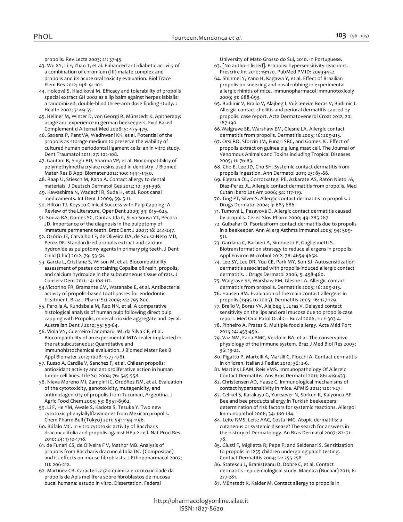*propolis. Rev Lecta 2003; 21: 37-45.*

- *43. Wu XY, Li F, Zhao T, et al. Enhanced anti-diabetic activity of a combination of chromium (III) malate complex and propolis and its acute oral toxicity evaluation. Biol Trace Elem Res 2012; 148: 91-101.*
- *44. Holcová S, Hladiková M. Efficacy and tolerability of propolis special extract GH 2002 as a lip balm against herpes labialis: a randomized, double-blind three-arm dose finding study. J Health 2002; 3: 49-55.*
- *45. Hellner M, Winter D, von Georgi R, Münstedt K. Apitherapy: usage and experience in german beekeepers. Evid Based Complement d Alternat Med 2008; 5: 475-479.*
- *46. Saxena P, Pant VA, Wadhwani KK, et al. Potential of the propolis as storage medium to preserve the viability of cultured human periodontal ligament cells: an in vitro study. Dent Traumatol 2011; 27: 102-108.*
- *47. Gautam R, Singh RD, Sharma VP, et al. Biocompatibility of polymethylmethacrylate resins used in dentistry. J Biomed Mater Res B Appl Biomater 2012; 100: 1444-1450.*
- *48. Raap U, Stiesch M, Kapp A. Contact allergy to dental materials. J Deutsch Dermatol Ges 2012; 10: 391-396.*
- *49. Kawashima N, Wadachi R, Suda H, et al. Root canal medicaments. Int Dent J 2009; 59: 5-11.*
- *50. Hilton TJ. Keys to Clinical Success with Pulp Capping: A Review of the Literature. Oper Dent 2009; 34: 615–625.*
- *51. Souza RA, Gomes SC, Dantas Jda C, Silva-Sousa YT, Pécora JD. Importance of the diagnosis in the pulpotomy of immature permanent teeth. Braz Dent J 2007; 18: 244-247.*
- *52. Ozório JE, Carvalho LF, de Oliveira DA, de Sousa-Neto MD, Perez DE. Standardized propolis extract and calcium hydroxide as pulpotomy agents in primary pig teeth. J Dent Child (Chic) 2012; 79: 53-58.*
- *53. Garcia L, Cristiane S, Wilson M, et al. Biocompatibility assessment of pastes containing Copaiba oil resin, propolis, and calcium hydroxide in the subcutaneous tissue of rats. J Conserv Dent 2011; 14: 108-112.*
- *54.Victorino FR, Bramante CM, Watanabe E, et al. Antibacterial activity of propolis-based toothpastes for endodontic treatment. Braz J Pharm Sci 2009; 45: 795-800.*
- *55. Parolia A, Kundabala M, Rao NN, et al. A comparative histological analysis of human pulp following direct pulp capping with Propolis, mineral trioxide aggregate and Dycal. Australian Dent J 2010; 55: 59-64.*
- *56. Viola VN, Guerreiro-Tanomaru JM, da Silva GF, et al. Biocompatibility of an experimental MTA sealer implanted in the rat subcutaneous: Quantitative and immunohistochemical evaluation. J Biomed Mater Res B Appl Biomater 2012; 100B: 1773-1781.*
- *57. Russo A, Cardile V, Sanchez F, et al. Chilean propolis: antioxidant activity and antiproliferative action in human tumor cell lines. Life Sci 2004; 76: 545-558.*
- *58. Nieva Moreno MI, Zampini IC, Ordóñez RM, et al. Evaluation of the cytotoxicity, genotoxicity, mutagenicity, and antimutagenicity of propolis from Tucuman, Argentina. J Agric Food Chem 2005; 53: 8957-8962.*
- *59. Li F, He YM, Awale S, Kadota S, Tezuka Y. Two new cytotoxic phenylallylflavanones from Mexican propolis. Chem Pharm Bull (Tokyo) 2011; 59: 1194-1196.*
- *60. Búfalo MC. In vitro cytotoxic activity of Baccharis dracunculifolia and propolis against HEp-2 cell. Nat Prod Res. 2010; 24: 1710-1718.*
- *61. de Funari CS, de Oliveira F V, Mathor MB. Analysis of propolis from Baccharis dracunculifolia DC. (Compositae) and its effects on mouse fibroblasts. J Ethnopharmacol 2007; 111: 206-212.*
- *62. Martinez CR. Caracterização química e citotoxicidade da própolis de Apis mellifera sobre fibroblastos de mucosa bucal humana: estudo in vitro. Dissertation. Federal*

*University of Mato Grosso do Sul, 2010. In Portuguese.*

- *63. [No authors listed]. Propolis: hypersensitivity reactions. Prescrire Int 2010; 19:170. PubMed PMID: 20939452.*
- *64. Shinmei Y, Yano H, Kagawa Y, et al. Effect of Brazilian propolis on sneezing and nasal rubbing in experimental allergic rhinitis of mice. Immunopharmacol Immunotoxicoly 2009; 31: 688-693.*
- *65. Budimir V, Brailo V, Alajbeg I, Vuèiæeviæ Boras V, Budimir J. Allergic contact cheilitis and perioral dermatitis caused by propolis: case report. Acta Dermatovenerol Croat 2012; 20: 187-190.*
- *66.Walgrave SE, Warshaw EM, Glesne LA. Allergic contact dermatitis from propolis. Dermatitis 2005; 16: 209-215.*
- *67. Orsi RO, Sforcin JM, Funari SRC, and Gomes JC. Effect of propolis extract on guinea pig lung mast cell. The Journal of Venomous Animals and Toxins including Tropical Diseases 2005; 11: 76-83.*
- *68. Cho E, Lee JD, Cho SH. Systemic contact dermatitis from propolis ingestion. Ann Dermatol 2011; 23: 85-88.*
- *69. Elgezua OL, Gorrotxategi PE, Azkarate AS, Ratón Nieto JA, Diaz-Perez JL. Allergic contact dermatitis from propolis. Med Cután Ibero Lat Am 2006; 34: 117-119.*
- *70. Ting PT, Silver S. Allergic contact dermatitis to propolis. J Drugs Dermatol 2004; 3: 685-686.*
- *71. Tumová L, Pasavová D. Allergic contact dermatitis caused by propolis. Cezec Slov Pharm 2000; 49: 285-287.*
- *72. Gulbahar O. Psoriasiform contact dermatitis due to propolis in a beekeeper. Ann Allerg Asthma Immunol 2005; 94: 509- 511.*
- *73. Gardana C, Barbieri A, Simonetti P, Guglielmetti S. Biotransformation strategy to reduce allergens in propolis. Appl Environ Microbiol 2012; 78: 4654-4658.*
- *74. Lee SY, Lee DR, You CE, Park MY, Son SJ. Autosensitization dermatitis associated with propolis-induced allergic contact dermatitis. J Drugs Dermatol 2006; 5: 458-460.*
- *75. Walgrave SE, Warshaw EM, Glesne LA. Allergic contact dermatitis from propolis. Dermatitis 2005; 16: 209-215.*
- *76. Hausen BM. Evaluation of the main contact allergens in propolis (1995 to 2005). Dermatitis 2005; 16: 127-129.*
- *77. Brailo V, Boras VV, Alajbeg I, Juras V. Delayed contact sensitivity on the lips and oral mucosa due to propolis-case report. Med Oral Patol Oral Cir Bucal 2006; 11: E-303-4.*
- *78. Pinheiro A, Prates S. Multiple food allergy. Acta Méd Port 2011; 24: 453-456.*
- *79. Vaz NM, Faria AMC, Verdolin BA, et al. The conservative physiology of the immune system. Braz J Med Biol Res 2003; 36: 13-22.*
- *80. Pigatto P, Martelli A, Marsili C, Fiocchi A. Contact dermatitis in children. Italian J Pediat 2010; 36: 2-6.*
- *81. Martins LEAM, Reis VMS. Immunopathology Of Allergic Contact Dermatitis. Ans Bras Dermatol 2011; 86: 419-433.*
- *82. Christensen AD, Haase C. Immunological mechanisms of contact hypersensitivity in mice. APMIS 2012; 120: 1-27.*
- *83. Celikel S, Karakaya G, Yurtsever N, Sorkun K, Kalyoncu AF. Bee and bee products allergy in Turkish beekeepers: determination of risk factors for systemic reactions. Allergol Immunopathol 2006; 34: 180-184.*
- *84. Leite RMS, Leite AAC, Costa IMC. Atopic dermatitis: a cutaneous or systemic disease? The search for answers in the history of Dermatology. An Bras Dermatol 2007; 82: 71- 78.*
- *85. Giusti F, Miglietta R; Pepe P; and Seidenari S. Sensitization to propolis in 1255 children undergoing patch testing. Contact Dermatitis 2004; 51: 255-258.*
- *86. Statescu L, Branisteanu D, Dobre C, et al. Contact dermatitis –epidemiological study. Maedica (Buchar) 2011; 6: 277-281.*
- *87. Münstedt K, Kalder M. Contact allergy to propolis in*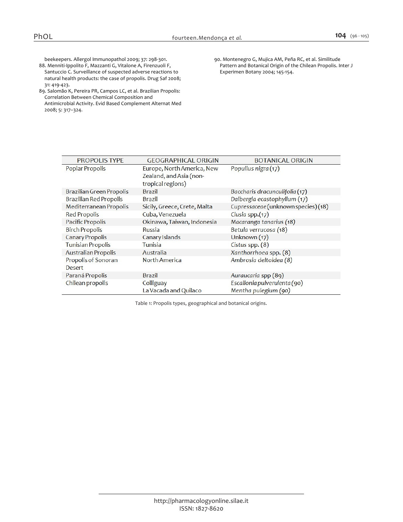*beekeepers. Allergol Immunopathol 2009; 37: 298-301.*

*88. Menniti-Ippolito F, Mazzanti G, Vitalone A, Firenzuoli F, Santuccio C. Surveillance of suspected adverse reactions to natural health products: the case of propolis. Drug Saf 2008; 31: 419-423.*

*89. Salomão K, Pereira PR, Campos LC, et al. Brazilian Propolis: Correlation Between Chemical Composition and Antimicrobial Activity. Evid Based Complement Alternat Med 2008; 5: 317–324.*

*90. Montenegro G, Mujica AM, Peña RC, et al. Similitude Pattern and Botanical Origin of the Chilean Propolis. Inter J Experimen Botany 2004; 145-154.*

| PROPOLIS TYPE                        | <b>GEOGRAPHICAL ORIGIN</b>                                                 | <b>BOTANICAL ORIGIN</b>                              |
|--------------------------------------|----------------------------------------------------------------------------|------------------------------------------------------|
| <b>Poplar Propolis</b>               | Europe, North America, New<br>Zealand, and Asia (non-<br>tropical regions) | Popullus nigra(17)                                   |
| Brazilian Green Propolis             | <b>Brazil</b>                                                              | Baccharis dracunculifolia (17)                       |
| <b>Brazilian Red Propolis</b>        | <b>Brazil</b>                                                              | Dalbergia ecastophyllum (17)                         |
| Mediterranean Propolis               | Sicily, Greece, Crete, Malta                                               | Cupressaceae (unknown species) (18)                  |
| <b>Red Propolis</b>                  | Cuba, Venezuela                                                            | Clusia spp.(17)                                      |
| Pacific Propolis                     | Okinawa, Taiwan, Indonesia                                                 | Macaranga tanarius (18)                              |
| <b>Birch Propolis</b>                | <b>Russia</b>                                                              | Betula verrucosa (18)                                |
| <b>Canary Propolis</b>               | Canary Islands                                                             | Unknown (17)                                         |
| <b>Tunisian Propolis</b>             | Tunisia                                                                    | Cistus spp. (8)                                      |
| <b>Australian Propolis</b>           | Australia                                                                  | Xanthorrhoea spp. (8)                                |
| Propolis of Sonoran<br><b>Desert</b> | North America                                                              | Ambrosia deltoidea (8)                               |
| Paraná Propolis                      | <b>Brazil</b>                                                              | Auraucaria spp (89)                                  |
| Chilean propolis                     | Colliguay<br>La Vacada and Quilaco                                         | Escallonia pulverulenta (90)<br>Mentha pulegium (90) |

*Table 1: Propolis types, geographical and botanical origins.*